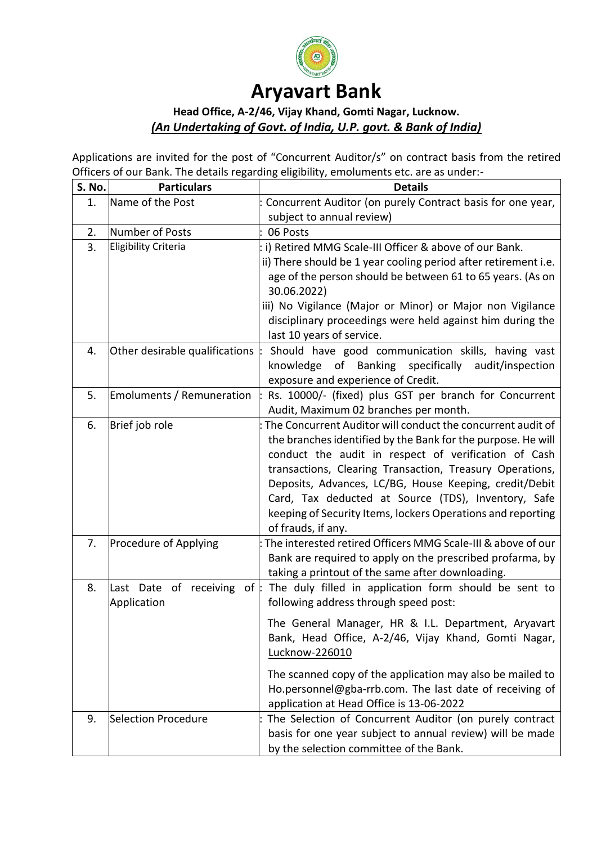

# **Aryavart Bank**

# **Head Office, A-2/46, Vijay Khand, Gomti Nagar, Lucknow.** *(An Undertaking of Govt. of India, U.P. govt. & Bank of India)*

Applications are invited for the post of "Concurrent Auditor/s" on contract basis from the retired Officers of our Bank. The details regarding eligibility, emoluments etc. are as under:-

| S. No. | <b>Particulars</b>                        | <b>Details</b>                                                                                                                                                                                                                                                                                                                                                                                                                                        |  |  |  |
|--------|-------------------------------------------|-------------------------------------------------------------------------------------------------------------------------------------------------------------------------------------------------------------------------------------------------------------------------------------------------------------------------------------------------------------------------------------------------------------------------------------------------------|--|--|--|
| 1.     | Name of the Post                          | Concurrent Auditor (on purely Contract basis for one year,                                                                                                                                                                                                                                                                                                                                                                                            |  |  |  |
|        |                                           | subject to annual review)                                                                                                                                                                                                                                                                                                                                                                                                                             |  |  |  |
| 2.     | Number of Posts                           | 06 Posts                                                                                                                                                                                                                                                                                                                                                                                                                                              |  |  |  |
| 3.     | <b>Eligibility Criteria</b>               | i) Retired MMG Scale-III Officer & above of our Bank.<br>ii) There should be 1 year cooling period after retirement i.e.<br>age of the person should be between 61 to 65 years. (As on<br>30.06.2022)<br>iii) No Vigilance (Major or Minor) or Major non Vigilance<br>disciplinary proceedings were held against him during the<br>last 10 years of service.                                                                                          |  |  |  |
| 4.     | Other desirable qualifications            | Should have good communication skills, having vast<br>knowledge of Banking specifically<br>audit/inspection<br>exposure and experience of Credit.                                                                                                                                                                                                                                                                                                     |  |  |  |
| 5.     | Emoluments / Remuneration                 | Rs. 10000/- (fixed) plus GST per branch for Concurrent<br>Audit, Maximum 02 branches per month.                                                                                                                                                                                                                                                                                                                                                       |  |  |  |
| 6.     | Brief job role                            | The Concurrent Auditor will conduct the concurrent audit of<br>the branches identified by the Bank for the purpose. He will<br>conduct the audit in respect of verification of Cash<br>transactions, Clearing Transaction, Treasury Operations,<br>Deposits, Advances, LC/BG, House Keeping, credit/Debit<br>Card, Tax deducted at Source (TDS), Inventory, Safe<br>keeping of Security Items, lockers Operations and reporting<br>of frauds, if any. |  |  |  |
| 7.     | Procedure of Applying                     | The interested retired Officers MMG Scale-III & above of our<br>Bank are required to apply on the prescribed profarma, by<br>taking a printout of the same after downloading.                                                                                                                                                                                                                                                                         |  |  |  |
| 8.     | Last Date of receiving of:<br>Application | The duly filled in application form should be sent to<br>following address through speed post:                                                                                                                                                                                                                                                                                                                                                        |  |  |  |
|        |                                           | The General Manager, HR & I.L. Department, Aryavart<br>Bank, Head Office, A-2/46, Vijay Khand, Gomti Nagar,<br>Lucknow-226010                                                                                                                                                                                                                                                                                                                         |  |  |  |
|        |                                           | The scanned copy of the application may also be mailed to<br>Ho.personnel@gba-rrb.com. The last date of receiving of<br>application at Head Office is 13-06-2022                                                                                                                                                                                                                                                                                      |  |  |  |
| 9.     | Selection Procedure                       | The Selection of Concurrent Auditor (on purely contract<br>basis for one year subject to annual review) will be made<br>by the selection committee of the Bank.                                                                                                                                                                                                                                                                                       |  |  |  |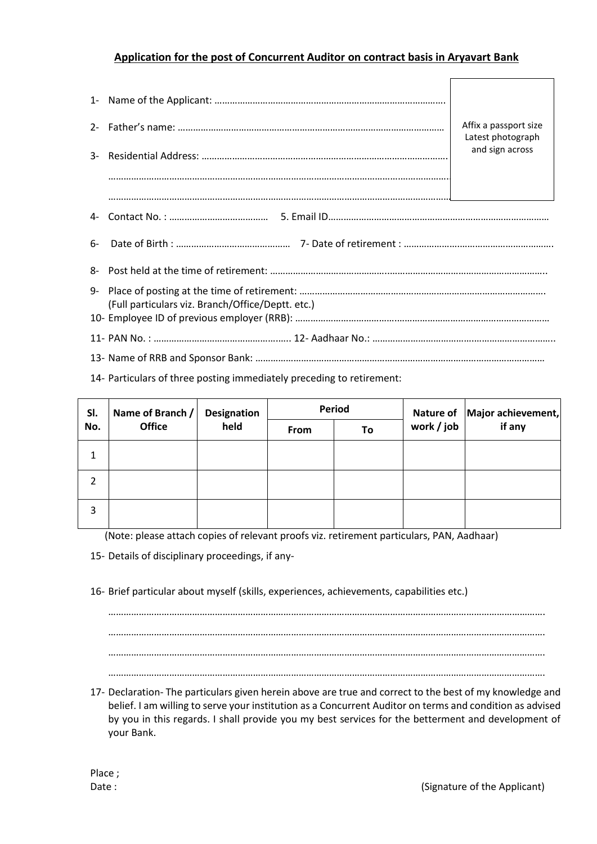## **Application for the post of Concurrent Auditor on contract basis in Aryavart Bank**

|    |                                                   | Affix a passport size<br>Latest photograph<br>and sign across |  |  |  |  |
|----|---------------------------------------------------|---------------------------------------------------------------|--|--|--|--|
|    |                                                   |                                                               |  |  |  |  |
|    |                                                   |                                                               |  |  |  |  |
|    |                                                   |                                                               |  |  |  |  |
| հ- |                                                   |                                                               |  |  |  |  |
|    |                                                   |                                                               |  |  |  |  |
| 9- | (Full particulars viz. Branch/Office/Deptt. etc.) |                                                               |  |  |  |  |
|    |                                                   |                                                               |  |  |  |  |
|    |                                                   |                                                               |  |  |  |  |

14- Particulars of three posting immediately preceding to retirement:

| SI.<br>No. | Name of Branch /<br><b>Office</b> | <b>Designation</b><br>held | Period |    |            | Nature of   Major achievement, |
|------------|-----------------------------------|----------------------------|--------|----|------------|--------------------------------|
|            |                                   |                            | From   | To | work / job | if any                         |
| 1          |                                   |                            |        |    |            |                                |
| 2          |                                   |                            |        |    |            |                                |
| 3          |                                   |                            |        |    |            |                                |

(Note: please attach copies of relevant proofs viz. retirement particulars, PAN, Aadhaar)

15- Details of disciplinary proceedings, if any-

16- Brief particular about myself (skills, experiences, achievements, capabilities etc.)

………………………………………………………………………………………………………………………………………………………. ………………………………………………………………………………………………………………………………………………………. ………………………………………………………………………………………………………………………………………………………. ……………………………………………………………………………………………………………………………………………………….

17- Declaration- The particulars given herein above are true and correct to the best of my knowledge and belief. I am willing to serve your institution as a Concurrent Auditor on terms and condition as advised by you in this regards. I shall provide you my best services for the betterment and development of your Bank.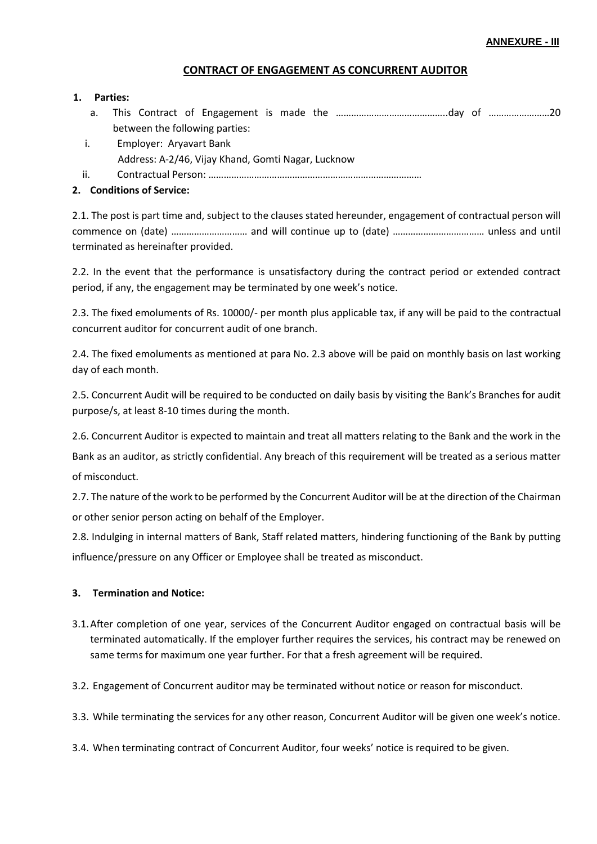#### **CONTRACT OF ENGAGEMENT AS CONCURRENT AUDITOR**

#### **1. Parties:**

- a. This Contract of Engagement is made the ……………………………………..day of ……………………20 between the following parties:
- i. Employer: Aryavart Bank Address: A-2/46, Vijay Khand, Gomti Nagar, Lucknow
- ii. Contractual Person: …………………………………………………………………………

### **2. Conditions of Service:**

2.1. The post is part time and, subject to the clauses stated hereunder, engagement of contractual person will commence on (date) ………………………… and will continue up to (date) ……………………………… unless and until terminated as hereinafter provided.

2.2. In the event that the performance is unsatisfactory during the contract period or extended contract period, if any, the engagement may be terminated by one week's notice.

2.3. The fixed emoluments of Rs. 10000/- per month plus applicable tax, if any will be paid to the contractual concurrent auditor for concurrent audit of one branch.

2.4. The fixed emoluments as mentioned at para No. 2.3 above will be paid on monthly basis on last working day of each month.

2.5. Concurrent Audit will be required to be conducted on daily basis by visiting the Bank's Branches for audit purpose/s, at least 8-10 times during the month.

2.6. Concurrent Auditor is expected to maintain and treat all matters relating to the Bank and the work in the

Bank as an auditor, as strictly confidential. Any breach of this requirement will be treated as a serious matter of misconduct.

2.7. The nature of the work to be performed by the Concurrent Auditor will be at the direction of the Chairman or other senior person acting on behalf of the Employer.

2.8. Indulging in internal matters of Bank, Staff related matters, hindering functioning of the Bank by putting influence/pressure on any Officer or Employee shall be treated as misconduct.

#### **3. Termination and Notice:**

3.1.After completion of one year, services of the Concurrent Auditor engaged on contractual basis will be terminated automatically. If the employer further requires the services, his contract may be renewed on same terms for maximum one year further. For that a fresh agreement will be required.

3.2. Engagement of Concurrent auditor may be terminated without notice or reason for misconduct.

3.3. While terminating the services for any other reason, Concurrent Auditor will be given one week's notice.

3.4. When terminating contract of Concurrent Auditor, four weeks' notice is required to be given.